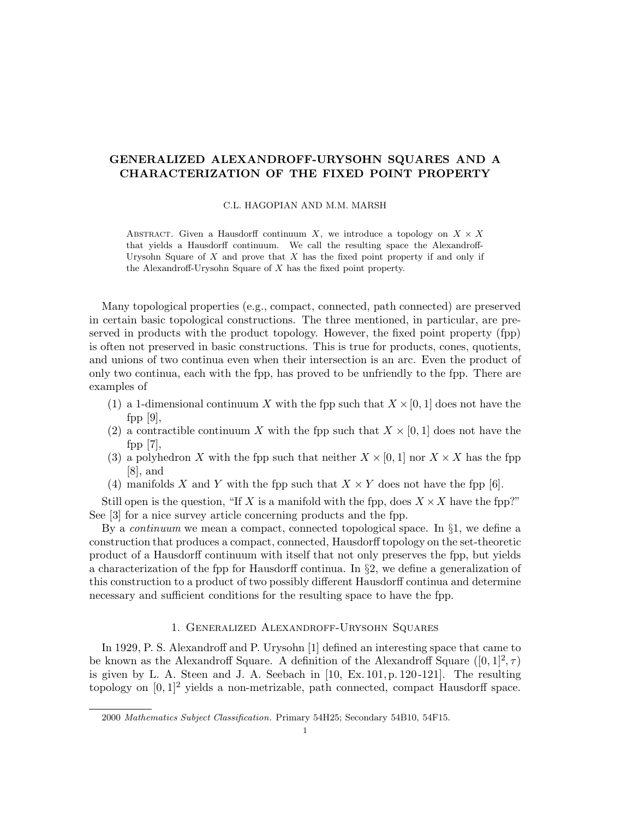# GENERALIZED ALEXANDROFF-URYSOHN SQUARES AND A CHARACTERIZATION OF THE FIXED POINT PROPERTY

### C.L. HAGOPIAN AND M.M. MARSH

ABSTRACT. Given a Hausdorff continuum X, we introduce a topology on  $X \times X$ that yields a Hausdorff continuum. We call the resulting space the Alexandroff-Urysohn Square of  $X$  and prove that  $X$  has the fixed point property if and only if the Alexandroff-Urysohn Square of  $X$  has the fixed point property.

Many topological properties (e.g., compact, connected, path connected) are preserved in certain basic topological constructions. The three mentioned, in particular, are preserved in products with the product topology. However, the fixed point property (fpp) is often not preserved in basic constructions. This is true for products, cones, quotients, and unions of two continua even when their intersection is an arc. Even the product of only two continua, each with the fpp, has proved to be unfriendly to the fpp. There are examples of

- (1) a 1-dimensional continuum X with the fpp such that  $X \times [0, 1]$  does not have the fpp  $|9|$ ,
- (2) a contractible continuum X with the fpp such that  $X \times [0, 1]$  does not have the fpp  $|7|$ ,
- (3) a polyhedron X with the fpp such that neither  $X \times [0,1]$  nor  $X \times X$  has the fpp [8], and
- (4) manifolds X and Y with the fpp such that  $X \times Y$  does not have the fpp [6].

Still open is the question, "If X is a manifold with the fpp, does  $X \times X$  have the fpp?" See [3] for a nice survey article concerning products and the fpp.

By a continuum we mean a compact, connected topological space. In §1, we define a construction that produces a compact, connected, Hausdorff topology on the set-theoretic product of a Hausdorff continuum with itself that not only preserves the fpp, but yields a characterization of the fpp for Hausdorff continua. In  $\S$ 2, we define a generalization of this construction to a product of two possibly different Hausdorff continua and determine necessary and sufficient conditions for the resulting space to have the fpp.

## 1. Generalized Alexandroff-Urysohn Squares

In 1929, P. S. Alexandroff and P. Urysohn [1] defined an interesting space that came to be known as the Alexandroff Square. A definition of the Alexandroff Square  $([0, 1]^2, \tau)$ is given by L. A. Steen and J. A. Seebach in [10, Ex. 101, p. 120 -121]. The resulting topology on  $[0, 1]^2$  yields a non-metrizable, path connected, compact Hausdorff space.

<sup>2000</sup> Mathematics Subject Classification. Primary 54H25; Secondary 54B10, 54F15.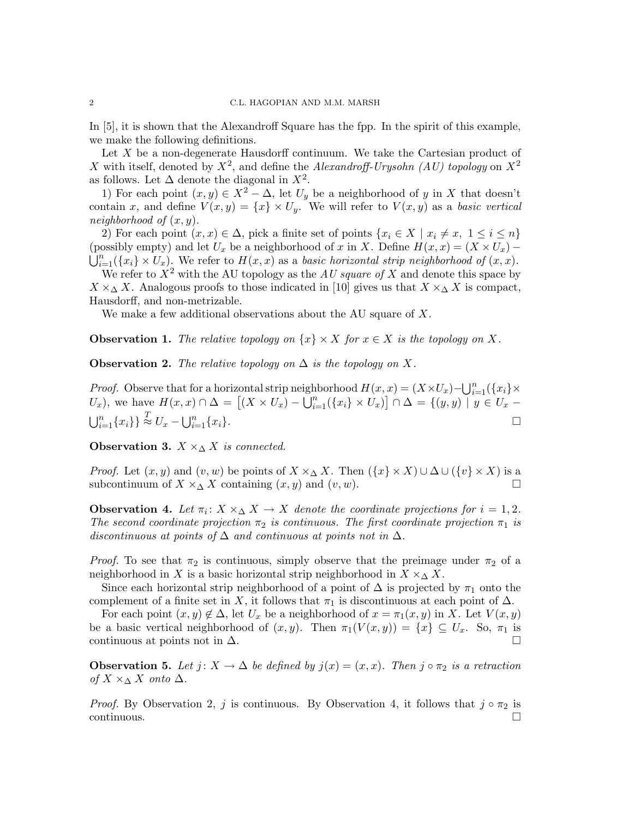In [5], it is shown that the Alexandroff Square has the fpp. In the spirit of this example, we make the following definitions.

Let  $X$  be a non-degenerate Hausdorff continuum. We take the Cartesian product of X with itself, denoted by  $X^2$ , and define the Alexandroff-Urysohn (AU) topology on  $X^2$ as follows. Let  $\Delta$  denote the diagonal in  $X^2$ .

1) For each point  $(x, y) \in X^2 - \Delta$ , let  $U_y$  be a neighborhood of y in X that doesn't contain x, and define  $V(x, y) = \{x\} \times U_y$ . We will refer to  $V(x, y)$  as a basic vertical neighborhood of  $(x, y)$ .

2) For each point  $(x, x) \in \Delta$ , pick a finite set of points  $\{x_i \in X \mid x_i \neq x, 1 \leq i \leq n\}$ (possibly empty) and let  $U_x$  be a neighborhood of x in X. Define  $H(x, x) = (X \times U_x) \bigcup_{i=1}^n (\{x_i\} \times U_x)$ . We refer to  $H(x, x)$  as a basic horizontal strip neighborhood of  $(x, x)$ . We refer to  $X^2$  with the AU topology as the AU square of X and denote this space by

 $X \times \Delta X$ . Analogous proofs to those indicated in [10] gives us that  $X \times \Delta X$  is compact, Hausdorff, and non-metrizable.

We make a few additional observations about the AU square of X.

**Observation 1.** The relative topology on  $\{x\} \times X$  for  $x \in X$  is the topology on X.

**Observation 2.** The relative topology on  $\Delta$  is the topology on X.

*Proof.* Observe that for a horizontal strip neighborhood  $H(x, x) = (X \times U_x) - \bigcup_{i=1}^n (\{x_i\} \times$ U<sub>x</sub>), we have  $H(x, x) \cap \Delta = [(X \times U_x) - \bigcup_{i=1}^n (\{x_i\} \times U_x)] \cap \Delta = \{(y, y) \mid y \in U_x \bigcup_{i=1}^n \{x_i\}\}\stackrel{T}{\approx} U_x-\bigcup_{i=1}^n$  $\prod_{i=1}^{n} \{x_i\}.$ 

Observation 3.  $X \times_{\Lambda} X$  is connected.

*Proof.* Let  $(x, y)$  and  $(v, w)$  be points of  $X \times \Delta X$ . Then  $({x} \times X) \cup \Delta \cup ({v} \times X)$  is a subcontinuum of  $X \times_{\Delta} X$  containing  $(x, y)$  and  $(v, w)$ .

**Observation 4.** Let  $\pi_i: X \times_\Delta X \to X$  denote the coordinate projections for  $i = 1, 2$ . The second coordinate projection  $\pi_2$  is continuous. The first coordinate projection  $\pi_1$  is discontinuous at points of  $\Delta$  and continuous at points not in  $\Delta$ .

*Proof.* To see that  $\pi_2$  is continuous, simply observe that the preimage under  $\pi_2$  of a neighborhood in X is a basic horizontal strip neighborhood in  $X \times_{\Delta} X$ .

Since each horizontal strip neighborhood of a point of  $\Delta$  is projected by  $\pi_1$  onto the complement of a finite set in X, it follows that  $\pi_1$  is discontinuous at each point of  $\Delta$ .

For each point  $(x, y) \notin \Delta$ , let  $U_x$  be a neighborhood of  $x = \pi_1(x, y)$  in X. Let  $V(x, y)$ be a basic vertical neighborhood of  $(x, y)$ . Then  $\pi_1(V(x, y)) = \{x\} \subseteq U_x$ . So,  $\pi_1$  is continuous at points not in  $\Delta$ .

**Observation 5.** Let  $j: X \to \Delta$  be defined by  $j(x) = (x, x)$ . Then  $j \circ \pi_2$  is a retraction of  $X \times_\Delta X$  onto  $\Delta$ .

*Proof.* By Observation 2, j is continuous. By Observation 4, it follows that  $j \circ \pi_2$  is continuous. □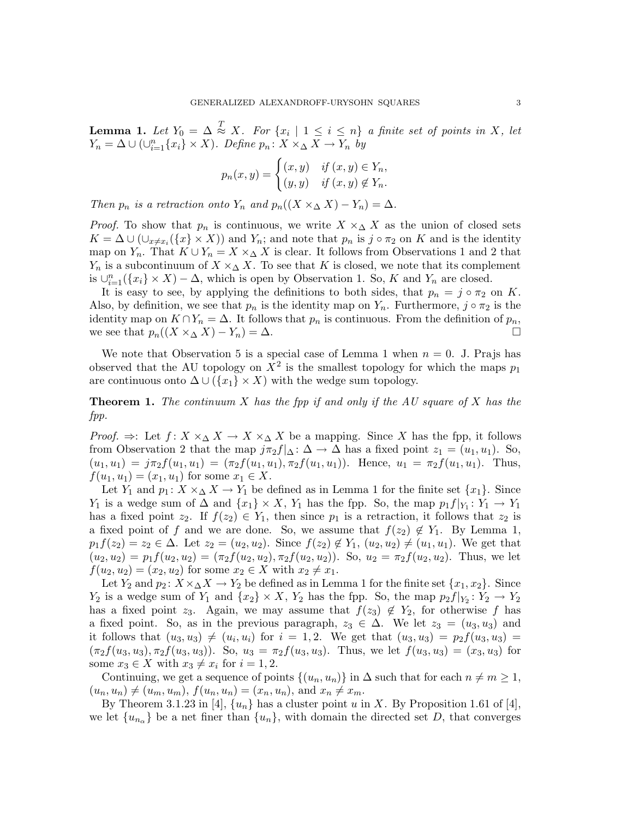**Lemma 1.** Let  $Y_0 = \Delta \stackrel{T}{\approx} X$ . For  $\{x_i \mid 1 \leq i \leq n\}$  a finite set of points in X, let  $Y_n = \Delta \cup (\cup_{i=1}^n \{x_i\} \times X)$ . Define  $p_n \colon X \times_{\Delta} X \to Y_n$  by

$$
p_n(x, y) = \begin{cases} (x, y) & \text{if } (x, y) \in Y_n, \\ (y, y) & \text{if } (x, y) \notin Y_n. \end{cases}
$$

Then  $p_n$  is a retraction onto  $Y_n$  and  $p_n((X \times_\Delta X) - Y_n) = \Delta$ .

*Proof.* To show that  $p_n$  is continuous, we write  $X \times \Delta X$  as the union of closed sets  $K = \Delta \cup (\cup_{x \neq x_i} (\{x\} \times X))$  and  $Y_n$ ; and note that  $p_n$  is j ∘  $\pi_2$  on K and is the identity map on  $Y_n$ . That  $K \cup Y_n = X \times_\Delta X$  is clear. It follows from Observations 1 and 2 that  $Y_n$  is a subcontinuum of  $X \times_\Delta X$ . To see that K is closed, we note that its complement is  $\bigcup_{i=1}^n (\{x_i\} \times X) - \Delta$ , which is open by Observation 1. So, K and  $Y_n$  are closed.

It is easy to see, by applying the definitions to both sides, that  $p_n = j \circ \pi_2$  on K. Also, by definition, we see that  $p_n$  is the identity map on  $Y_n$ . Furthermore,  $j \circ \pi_2$  is the identity map on  $K \cap Y_n = \Delta$ . It follows that  $p_n$  is continuous. From the definition of  $p_n$ , we see that  $p_n((X \times_{\Delta} X) - Y_n) = \Delta$ .

We note that Observation 5 is a special case of Lemma 1 when  $n = 0$ . J. Prajs has observed that the AU topology on  $X^2$  is the smallest topology for which the maps  $p_1$ are continuous onto  $\Delta \cup (\{x_1\} \times X)$  with the wedge sum topology.

**Theorem 1.** The continuum  $X$  has the fpp if and only if the  $AU$  square of  $X$  has the fpp.

*Proof.*  $\Rightarrow$ : Let  $f: X \times_\Delta X \to X \times_\Delta X$  be a mapping. Since X has the fpp, it follows from Observation 2 that the map  $j\pi_2 f|_{\Delta} : \Delta \to \Delta$  has a fixed point  $z_1 = (u_1, u_1)$ . So,  $(u_1, u_1) = j\pi_2 f(u_1, u_1) = (\pi_2 f(u_1, u_1), \pi_2 f(u_1, u_1))$ . Hence,  $u_1 = \pi_2 f(u_1, u_1)$ . Thus,  $f(u_1, u_1) = (x_1, u_1)$  for some  $x_1 \in X$ .

Let  $Y_1$  and  $p_1: X \times_\Delta X \to Y_1$  be defined as in Lemma 1 for the finite set  $\{x_1\}$ . Since Y<sub>1</sub> is a wedge sum of  $\Delta$  and  $\{x_1\} \times X$ , Y<sub>1</sub> has the fpp. So, the map  $p_1 f|_{Y_1} : Y_1 \to Y_1$ has a fixed point  $z_2$ . If  $f(z_2) \in Y_1$ , then since  $p_1$  is a retraction, it follows that  $z_2$  is a fixed point of f and we are done. So, we assume that  $f(z_2) \notin Y_1$ . By Lemma 1,  $p_1f(z_2) = z_2 \in \Delta$ . Let  $z_2 = (u_2, u_2)$ . Since  $f(z_2) \notin Y_1$ ,  $(u_2, u_2) \neq (u_1, u_1)$ . We get that  $(u_2, u_2) = p_1 f(u_2, u_2) = (\pi_2 f(u_2, u_2), \pi_2 f(u_2, u_2))$ . So,  $u_2 = \pi_2 f(u_2, u_2)$ . Thus, we let  $f(u_2, u_2) = (x_2, u_2)$  for some  $x_2 \in X$  with  $x_2 \neq x_1$ .

Let  $Y_2$  and  $p_2 \colon X \times \Delta X \to Y_2$  be defined as in Lemma 1 for the finite set  $\{x_1, x_2\}$ . Since  $Y_2$  is a wedge sum of  $Y_1$  and  $\{x_2\} \times X$ ,  $Y_2$  has the fpp. So, the map  $p_2 f|_{Y_2} : Y_2 \to Y_2$ has a fixed point z<sub>3</sub>. Again, we may assume that  $f(z_3) \notin Y_2$ , for otherwise f has a fixed point. So, as in the previous paragraph,  $z_3 \in \Delta$ . We let  $z_3 = (u_3, u_3)$  and it follows that  $(u_3, u_3) \neq (u_i, u_i)$  for  $i = 1, 2$ . We get that  $(u_3, u_3) = p_2f(u_3, u_3)$  $(\pi_2 f(u_3, u_3), \pi_2 f(u_3, u_3))$ . So,  $u_3 = \pi_2 f(u_3, u_3)$ . Thus, we let  $f(u_3, u_3) = (x_3, u_3)$  for some  $x_3 \in X$  with  $x_3 \neq x_i$  for  $i = 1, 2$ .

Continuing, we get a sequence of points  $\{(u_n, u_n)\}\$ in  $\Delta$  such that for each  $n \neq m \geq 1$ ,  $(u_n, u_n) \neq (u_m, u_m), f(u_n, u_n) = (x_n, u_n), \text{ and } x_n \neq x_m.$ 

By Theorem 3.1.23 in [4],  $\{u_n\}$  has a cluster point u in X. By Proposition 1.61 of [4], we let  ${u_{n_\alpha}}$  be a net finer than  ${u_n}$ , with domain the directed set D, that converges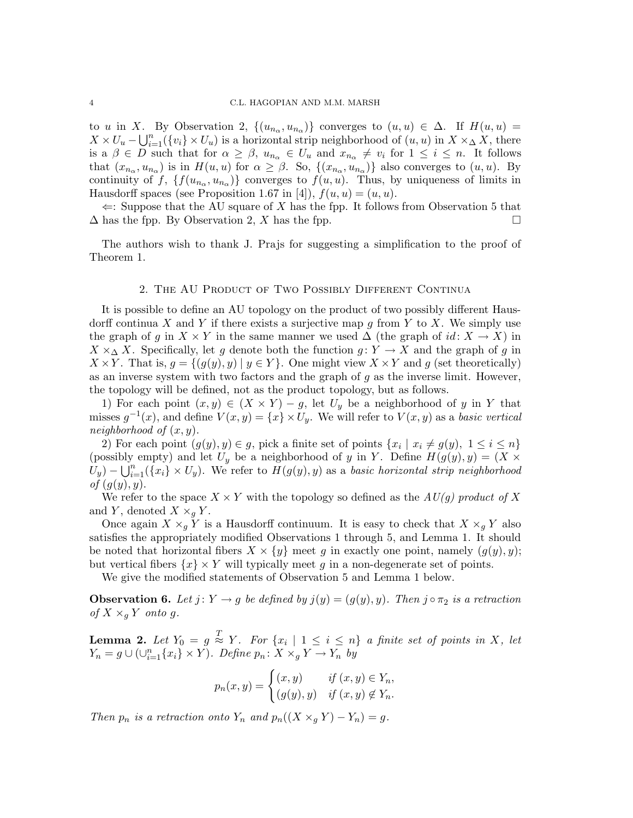to u in X. By Observation 2,  $\{(u_{n_{\alpha}}, u_{n_{\alpha}})\}\)$  converges to  $(u, u) \in \Delta$ . If  $H(u, u) =$  $X \times U_u - \bigcup_{i=1}^n (\{v_i\} \times U_u)$  is a horizontal strip neighborhood of  $(u, u)$  in  $X \times \Delta X$ , there is a  $\beta \in D$  such that for  $\alpha \geq \beta$ ,  $u_{n_{\alpha}} \in U_u$  and  $x_{n_{\alpha}} \neq v_i$  for  $1 \leq i \leq n$ . It follows that  $(x_{n_{\alpha}}, u_{n_{\alpha}})$  is in  $H(u, u)$  for  $\alpha \geq \beta$ . So,  $\{(x_{n_{\alpha}}, u_{n_{\alpha}})\}\$ also converges to  $(u, u)$ . By continuity of f,  $\{f(u_{n_{\alpha}}, u_{n_{\alpha}})\}\$ converges to  $f(u, u)$ . Thus, by uniqueness of limits in Hausdorff spaces (see Proposition 1.67 in [4]),  $f(u, u) = (u, u)$ .

 $\Leftarrow$ : Suppose that the AU square of X has the fpp. It follows from Observation 5 that  $\Delta$  has the fpp. By Observation 2, X has the fpp.  $\square$ 

The authors wish to thank J. Prajs for suggesting a simplification to the proof of Theorem 1.

### 2. The AU Product of Two Possibly Different Continua

It is possible to define an AU topology on the product of two possibly different Hausdorff continua X and Y if there exists a surjective map g from Y to X. We simply use the graph of g in  $X \times Y$  in the same manner we used  $\Delta$  (the graph of id:  $X \to X$ ) in  $X \times_{\Delta} X$ . Specifically, let g denote both the function  $g: Y \to X$  and the graph of g in  $X \times Y$ . That is,  $g = \{(g(y), y) | y \in Y\}$ . One might view  $X \times Y$  and g (set theoretically) as an inverse system with two factors and the graph of  $g$  as the inverse limit. However, the topology will be defined, not as the product topology, but as follows.

1) For each point  $(x, y) \in (X \times Y) - g$ , let  $U_y$  be a neighborhood of y in Y that misses  $g^{-1}(x)$ , and define  $V(x, y) = \{x\} \times U_y$ . We will refer to  $V(x, y)$  as a basic vertical neighborhood of  $(x, y)$ .

2) For each point  $(g(y), y) \in g$ , pick a finite set of points  $\{x_i \mid x_i \neq g(y), 1 \leq i \leq n\}$ (possibly empty) and let  $U_y$  be a neighborhood of y in Y. Define  $H(g(y), y) = (X \times$  $\hat{U}_y$ ) –  $\bigcup_{i=1}^n (\{x_i\} \times U_y)$ . We refer to  $H(g(y), y)$  as a basic horizontal strip neighborhood of  $(q(y), y)$ .

We refer to the space  $X \times Y$  with the topology so defined as the  $A\,U(g)$  product of X and Y, denoted  $X \times_q Y$ .

Once again  $X \times_q Y$  is a Hausdorff continuum. It is easy to check that  $X \times_q Y$  also satisfies the appropriately modified Observations 1 through 5, and Lemma 1. It should be noted that horizontal fibers  $X \times \{y\}$  meet g in exactly one point, namely  $(g(y), y)$ ; but vertical fibers  $\{x\} \times Y$  will typically meet g in a non-degenerate set of points.

We give the modified statements of Observation 5 and Lemma 1 below.

**Observation 6.** Let  $j: Y \to g$  be defined by  $j(y) = (g(y), y)$ . Then  $j \circ \pi_2$  is a retraction of  $X \times_q Y$  onto g.

**Lemma 2.** Let  $Y_0 = g \stackrel{T}{\approx} Y$ . For  $\{x_i \mid 1 \leq i \leq n\}$  a finite set of points in X, let  $Y_n = g \cup (\cup_{i=1}^n \{x_i\} \times Y)$ . Define  $p_n \colon X \times_g Y \to Y_n$  by

$$
p_n(x, y) = \begin{cases} (x, y) & \text{if } (x, y) \in Y_n, \\ (g(y), y) & \text{if } (x, y) \notin Y_n. \end{cases}
$$

Then  $p_n$  is a retraction onto  $Y_n$  and  $p_n((X \times_q Y) - Y_n) = g$ .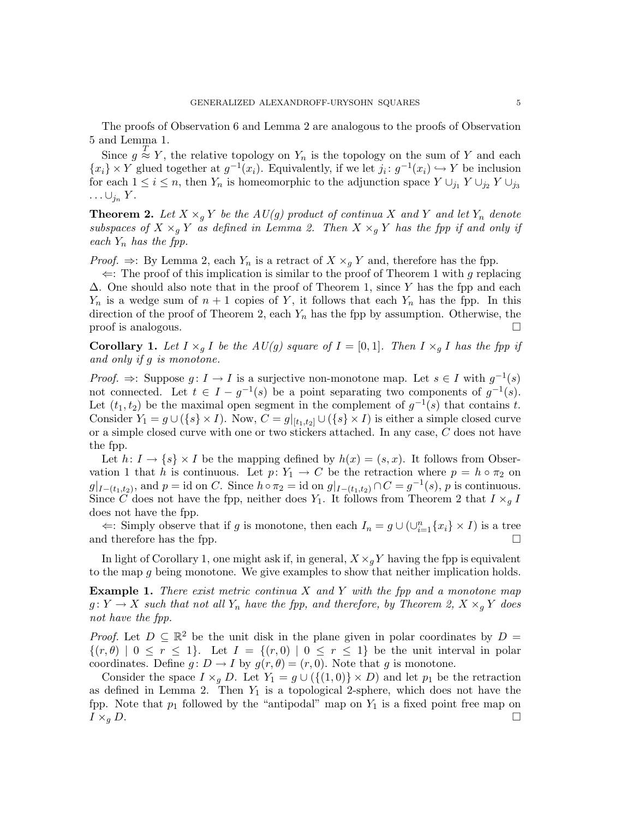The proofs of Observation 6 and Lemma 2 are analogous to the proofs of Observation 5 and Lemma 1.

Since  $g \stackrel{T}{\approx} Y$ , the relative topology on  $Y_n$  is the topology on the sum of Y and each  $\{x_i\} \times Y$  glued together at  $g^{-1}(x_i)$ . Equivalently, if we let  $j_i: g^{-1}(x_i) \hookrightarrow Y$  be inclusion for each  $1 \le i \le n$ , then  $Y_n$  is homeomorphic to the adjunction space  $Y \cup_{j_1} Y \cup_{j_2} Y \cup_{j_3} Y$  $\ldots \cup_{j_n} Y$ .

**Theorem 2.** Let  $X \times_{g} Y$  be the  $AU(g)$  product of continua X and Y and let  $Y_n$  denote subspaces of  $X \times_g Y$  as defined in Lemma 2. Then  $X \times_g Y$  has the fpp if and only if each  $Y_n$  has the fpp.

*Proof.*  $\Rightarrow$ : By Lemma 2, each  $Y_n$  is a retract of  $X \times_q Y$  and, therefore has the fpp.

 $\Leftarrow$ : The proof of this implication is similar to the proof of Theorem 1 with g replacing  $\Delta$ . One should also note that in the proof of Theorem 1, since Y has the fpp and each  $Y_n$  is a wedge sum of  $n+1$  copies of Y, it follows that each  $Y_n$  has the fpp. In this direction of the proof of Theorem 2, each  $Y_n$  has the fpp by assumption. Otherwise, the  $\Box$  proof is analogous.

**Corollary 1.** Let  $I \times_q I$  be the  $AU(g)$  square of  $I = [0, 1]$ . Then  $I \times_q I$  has the fpp if and only if g is monotone.

*Proof.*  $\Rightarrow$ : Suppose  $g: I \to I$  is a surjective non-monotone map. Let  $s \in I$  with  $g^{-1}(s)$ not connected. Let  $t \in I - g^{-1}(s)$  be a point separating two components of  $g^{-1}(s)$ . Let  $(t_1, t_2)$  be the maximal open segment in the complement of  $g^{-1}(s)$  that contains t. Consider  $Y_1 = g \cup (\{s\} \times I)$ . Now,  $C = g|_{[t_1,t_2]} \cup (\{s\} \times I)$  is either a simple closed curve or a simple closed curve with one or two stickers attached. In any case, C does not have the fpp.

Let  $h: I \to \{s\} \times I$  be the mapping defined by  $h(x) = (s, x)$ . It follows from Observation 1 that h is continuous. Let  $p: Y_1 \to C$  be the retraction where  $p = h \circ \pi_2$  on  $g|_{I-(t_1,t_2)}$ , and  $p = \text{id}$  on C. Since  $h \circ \pi_2 = \text{id}$  on  $g|_{I-(t_1,t_2)} \cap C = g^{-1}(s)$ , p is continuous. Since  $\overline{C}$  does not have the fpp, neither does  $Y_1$ . It follows from Theorem 2 that  $I \times_g I$ does not have the fpp.

 $\Leftarrow$ : Simply observe that if g is monotone, then each  $I_n = g \cup (\cup_{i=1}^n \{x_i\} \times I)$  is a tree and therefore has the fpp.  $\Box$ 

In light of Corollary 1, one might ask if, in general,  $X \times_q Y$  having the fpp is equivalent to the map g being monotone. We give examples to show that neither implication holds.

**Example 1.** There exist metric continua  $X$  and  $Y$  with the fpp and a monotone map  $g: Y \to X$  such that not all  $Y_n$  have the fpp, and therefore, by Theorem 2,  $X \times_q Y$  does not have the fpp.

*Proof.* Let  $D \subseteq \mathbb{R}^2$  be the unit disk in the plane given in polar coordinates by  $D =$  $\{(r,\theta) \mid 0 \leq r \leq 1\}$ . Let  $I = \{(r,0) \mid 0 \leq r \leq 1\}$  be the unit interval in polar coordinates. Define  $g: D \to I$  by  $g(r, \theta) = (r, 0)$ . Note that g is monotone.

Consider the space  $I \times_q D$ . Let  $Y_1 = g \cup (\{(1,0)\} \times D)$  and let  $p_1$  be the retraction as defined in Lemma 2. Then  $Y_1$  is a topological 2-sphere, which does not have the fpp. Note that  $p_1$  followed by the "antipodal" map on  $Y_1$  is a fixed point free map on  $I \times_{g} D$ .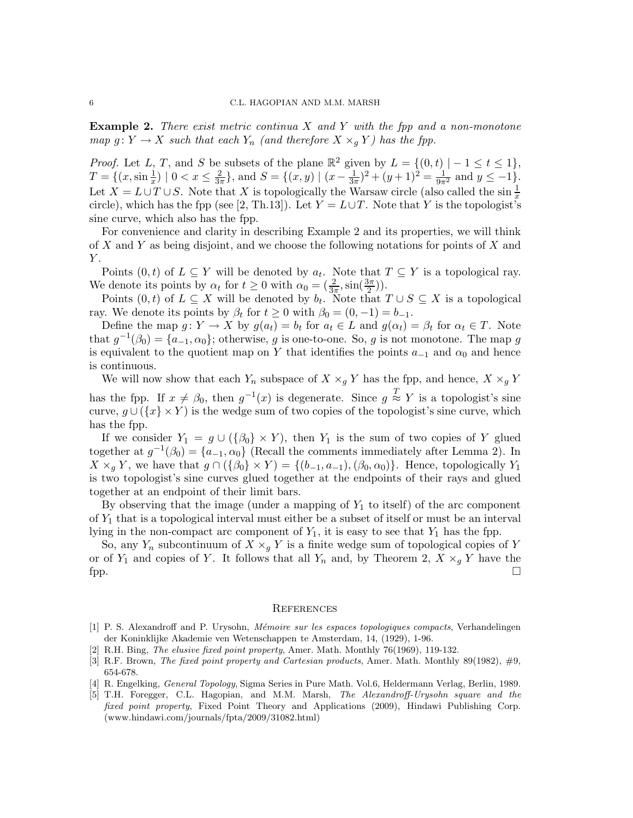**Example 2.** There exist metric continua  $X$  and  $Y$  with the fpp and a non-monotone map  $g: Y \to X$  such that each  $Y_n$  (and therefore  $X \times_q Y$ ) has the fpp.

*Proof.* Let L, T, and S be subsets of the plane  $\mathbb{R}^2$  given by  $L = \{(0, t) \mid -1 \le t \le 1\}$ ,  $T = \{(x, \sin\frac{1}{x}) \mid 0 < x \leq \frac{2}{3\pi}\},\$ and  $S = \{(x, y) \mid (x - \frac{1}{3\pi})^2 + (y + 1)^2 = \frac{1}{9\pi^2}$  and  $y \leq -1\}.$ Let  $X = L \cup T \cup S$ . Note that X is topologically the Warsaw circle (also called the sin  $\frac{1}{x}$ circle), which has the fpp (see [2, Th.13]). Let  $Y = L \cup T$ . Note that Y is the topologist's sine curve, which also has the fpp.

For convenience and clarity in describing Example 2 and its properties, we will think of X and Y as being disjoint, and we choose the following notations for points of X and  $Y$ .

Points  $(0, t)$  of  $L \subseteq Y$  will be denoted by  $a_t$ . Note that  $T \subseteq Y$  is a topological ray. We denote its points by  $\alpha_t$  for  $t \geq 0$  with  $\alpha_0 = \left(\frac{2}{3\pi}, \sin\left(\frac{3\pi}{2}\right)\right)$ .

Points  $(0, t)$  of  $L \subseteq X$  will be denoted by  $b_t$ . Note that  $T \cup S \subseteq X$  is a topological ray. We denote its points by  $\beta_t$  for  $t \geq 0$  with  $\beta_0 = (0, -1) = b_{-1}$ .

Define the map  $g: Y \to X$  by  $g(a_t) = b_t$  for  $a_t \in L$  and  $g(\alpha_t) = \beta_t$  for  $\alpha_t \in T$ . Note that  $g^{-1}(\beta_0) = \{a_{-1}, \alpha_0\}$ ; otherwise, g is one-to-one. So, g is not monotone. The map g is equivalent to the quotient map on Y that identifies the points  $a_{-1}$  and  $\alpha_0$  and hence is continuous.

We will now show that each  $Y_n$  subspace of  $X \times_g Y$  has the fpp, and hence,  $X \times_g Y$ has the fpp. If  $x \neq \beta_0$ , then  $g^{-1}(x)$  is degenerate. Since  $g \stackrel{T}{\approx} Y$  is a topologist's sine curve,  $g \cup (\{x\} \times Y)$  is the wedge sum of two copies of the topologist's sine curve, which has the fpp.

If we consider  $Y_1 = g \cup (\{\beta_0\} \times Y)$ , then  $Y_1$  is the sum of two copies of Y glued together at  $g^{-1}(\beta_0) = \{a_{-1}, \alpha_0\}$  (Recall the comments immediately after Lemma 2). In  $X \times_q Y$ , we have that  $g \cap (\{\beta_0\} \times Y) = \{(b_{-1}, a_{-1}), (\beta_0, \alpha_0)\}\)$ . Hence, topologically  $Y_1$ is two topologist's sine curves glued together at the endpoints of their rays and glued together at an endpoint of their limit bars.

By observing that the image (under a mapping of  $Y_1$  to itself) of the arc component of  $Y_1$  that is a topological interval must either be a subset of itself or must be an interval lying in the non-compact arc component of  $Y_1$ , it is easy to see that  $Y_1$  has the fpp.

So, any  $Y_n$  subcontinuum of  $X \times_q Y$  is a finite wedge sum of topological copies of Y or of  $Y_1$  and copies of Y. It follows that all  $Y_n$  and, by Theorem 2,  $X \times_g Y$  have the  $\Box$ 

#### **REFERENCES**

- [1] P. S. Alexandroff and P. Urysohn, *Mémoire sur les espaces topologiques compacts*, Verhandelingen der Koninklijke Akademie ven Wetenschappen te Amsterdam, 14, (1929), 1-96.
- [2] R.H. Bing, The elusive fixed point property, Amer. Math. Monthly 76(1969), 119-132.
- [3] R.F. Brown, *The fixed point property and Cartesian products*, Amer. Math. Monthly 89(1982),  $\#9$ , 654-678.
- [4] R. Engelking, General Topology, Sigma Series in Pure Math. Vol.6, Heldermann Verlag, Berlin, 1989.
- [5] T.H. Foregger, C.L. Hagopian, and M.M. Marsh, The Alexandroff-Urysohn square and the fixed point property, Fixed Point Theory and Applications (2009), Hindawi Publishing Corp. (www.hindawi.com/journals/fpta/2009/31082.html)